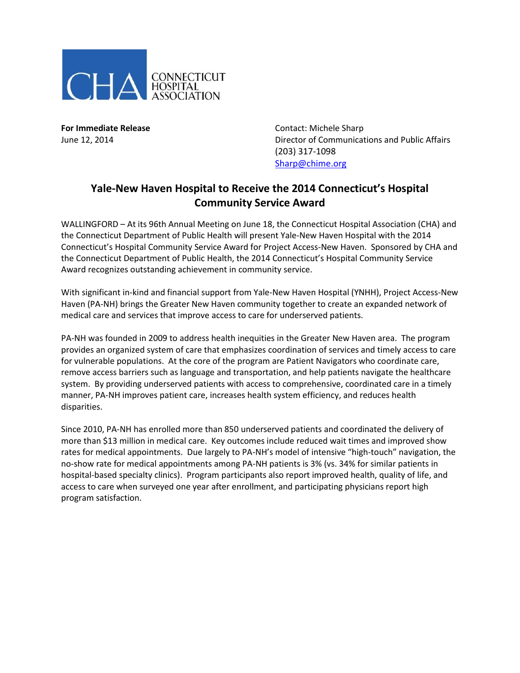

**For Immediate Release Contact: Michele Sharp** June 12, 2014 Director of Communications and Public Affairs (203) 317-1098 [Sharp@chime.org](mailto:Sharp@chime.org)

## **Yale-New Haven Hospital to Receive the 2014 Connecticut's Hospital Community Service Award**

WALLINGFORD – At its 96th Annual Meeting on June 18, the Connecticut Hospital Association (CHA) and the Connecticut Department of Public Health will present Yale-New Haven Hospital with the 2014 Connecticut's Hospital Community Service Award for Project Access-New Haven. Sponsored by CHA and the Connecticut Department of Public Health, the 2014 Connecticut's Hospital Community Service Award recognizes outstanding achievement in community service.

With significant in-kind and financial support from Yale-New Haven Hospital (YNHH), Project Access-New Haven (PA-NH) brings the Greater New Haven community together to create an expanded network of medical care and services that improve access to care for underserved patients.

PA-NH was founded in 2009 to address health inequities in the Greater New Haven area. The program provides an organized system of care that emphasizes coordination of services and timely access to care for vulnerable populations. At the core of the program are Patient Navigators who coordinate care, remove access barriers such as language and transportation, and help patients navigate the healthcare system. By providing underserved patients with access to comprehensive, coordinated care in a timely manner, PA-NH improves patient care, increases health system efficiency, and reduces health disparities.

Since 2010, PA-NH has enrolled more than 850 underserved patients and coordinated the delivery of more than \$13 million in medical care. Key outcomes include reduced wait times and improved show rates for medical appointments. Due largely to PA-NH's model of intensive "high-touch" navigation, the no-show rate for medical appointments among PA-NH patients is 3% (vs. 34% for similar patients in hospital-based specialty clinics). Program participants also report improved health, quality of life, and access to care when surveyed one year after enrollment, and participating physicians report high program satisfaction.